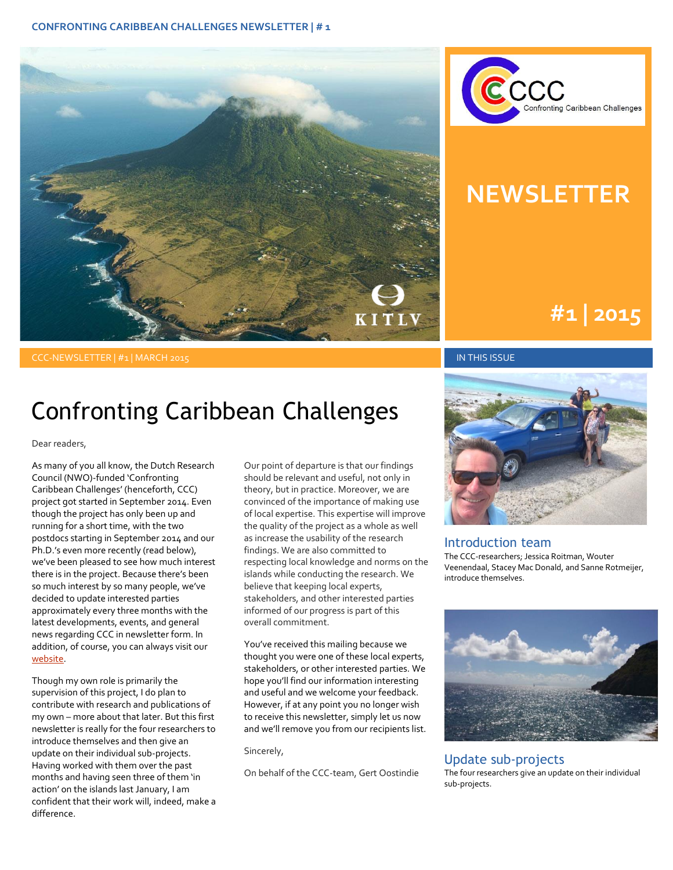



#### **NEWSLETTER**

#### **#1 | 2015 #1 | 2015**

## Confronting Caribbean Challenges

Dear readers,

As many of you all know, the Dutch Research Council (NWO)-funded 'Confronting Caribbean Challenges' (henceforth, CCC) project got started in September 2014. Even though the project has only been up and running for a short time, with the two postdocs starting in September 2014 and our Ph.D.'s even more recently (read below), we've been pleased to see how much interest there is in the project. Because there's been so much interest by so many people, we've decided to update interested parties approximately every three months with the latest developments, events, and general news regarding CCC in newsletter form. In addition, of course, you can always visit our [website.](http://kitlv.nl/research-projects-confronting-caribbean-challenges/)

Though my own role is primarily the supervision of this project, I do plan to contribute with research and publications of my own – more about that later. But this first newsletter is really for the four researchers to introduce themselves and then give an update on their individual sub-projects. Having worked with them over the past months and having seen three of them 'in action' on the islands last January, I am confident that their work will, indeed, make a difference.

Our point of departure is that our findings should be relevant and useful, not only in theory, but in practice. Moreover, we are convinced of the importance of making use of local expertise. This expertise will improve the quality of the project as a whole as well as increase the usability of the research findings. We are also committed to respecting local knowledge and norms on the islands while conducting the research. We believe that keeping local experts, stakeholders, and other interested parties informed of our progress is part of this overall commitment.

You've received this mailing because we thought you were one of these local experts, stakeholders, or other interested parties. We hope you'll find our information interesting and useful and we welcome your feedback. However, if at any point you no longer wish to receive this newsletter, simply let us now and we'll remove you from our recipients list.

Sincerely,

On behalf of the CCC-team, Gert Oostindie



#### Introduction team

The CCC-researchers; Jessica Roitman, Wouter Veenendaal, Stacey Mac Donald, and Sanne Rotmeijer, introduce themselves.



Update sub-projects The four researchers give an update on their individual sub-projects.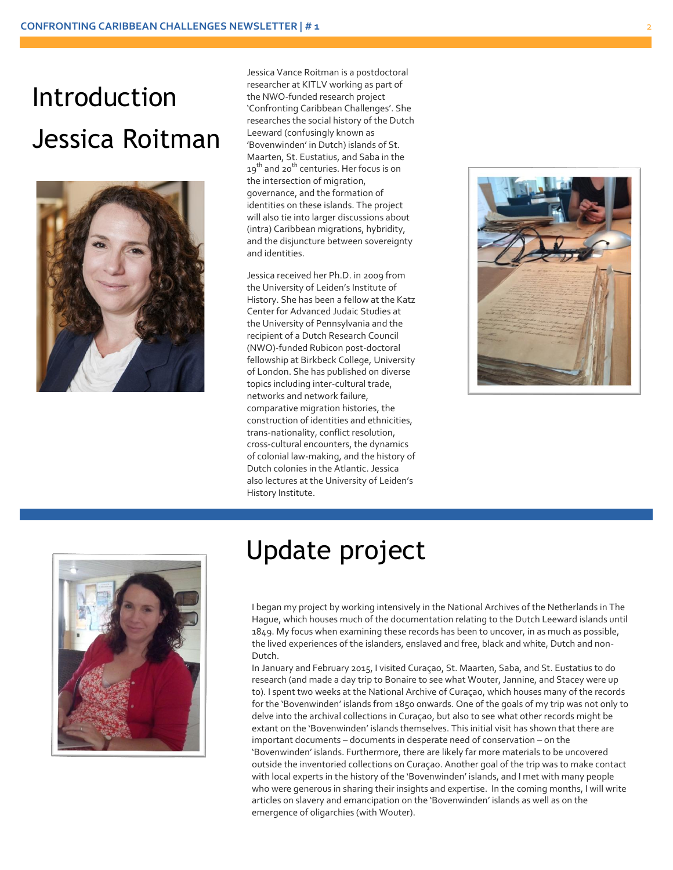# Introduction Jessica Roitman



Jessica Vance Roitman is a postdoctoral researcher at KITLV working as part of the NWO-funded research project 'Confronting Caribbean Challenges'. She researches the social history of the Dutch Leeward (confusingly known as 'Bovenwinden' in Dutch) islands of St. Maarten, St. Eustatius, and Saba in the 19<sup>th</sup> and 20<sup>th</sup> centuries. Her focus is on the intersection of migration, governance, and the formation of identities on these islands. The project will also tie into larger discussions about (intra) Caribbean migrations, hybridity, and the disjuncture between sovereignty and identities.

Jessica received her Ph.D. in 2009 from the University of Leiden's Institute of History. She has been a fellow at the Katz Center for Advanced Judaic Studies at the University of Pennsylvania and the recipient of a Dutch Research Council (NWO)-funded Rubicon post-doctoral fellowship at Birkbeck College, University of London. She has published on diverse topics including inter-cultural trade, networks and network failure, comparative migration histories, the construction of identities and ethnicities, trans-nationality, conflict resolution, cross-cultural encounters, the dynamics of colonial law-making, and the history of Dutch colonies in the Atlantic. Jessica also lectures at the University of Leiden's History Institute.





## Update project

I began my project by working intensively in the National Archives of the Netherlands in The Hague, which houses much of the documentation relating to the Dutch Leeward islands until 1849. My focus when examining these records has been to uncover, in as much as possible, the lived experiences of the islanders, enslaved and free, black and white, Dutch and non-Dutch.

In January and February 2015, I visited Curaçao, St. Maarten, Saba, and St. Eustatius to do research (and made a day trip to Bonaire to see what Wouter, Jannine, and Stacey were up to). I spent two weeks at the National Archive of Curaçao, which houses many of the records for the 'Bovenwinden' islands from 1850 onwards. One of the goals of my trip was not only to delve into the archival collections in Curaçao, but also to see what other records might be extant on the 'Bovenwinden' islands themselves. This initial visit has shown that there are important documents – documents in desperate need of conservation – on the 'Bovenwinden' islands. Furthermore, there are likely far more materials to be uncovered outside the inventoried collections on Curaçao. Another goal of the trip was to make contact with local experts in the history of the 'Bovenwinden' islands, and I met with many people who were generous in sharing their insights and expertise. In the coming months, I will write articles on slavery and emancipation on the 'Bovenwinden' islands as well as on the emergence of oligarchies (with Wouter).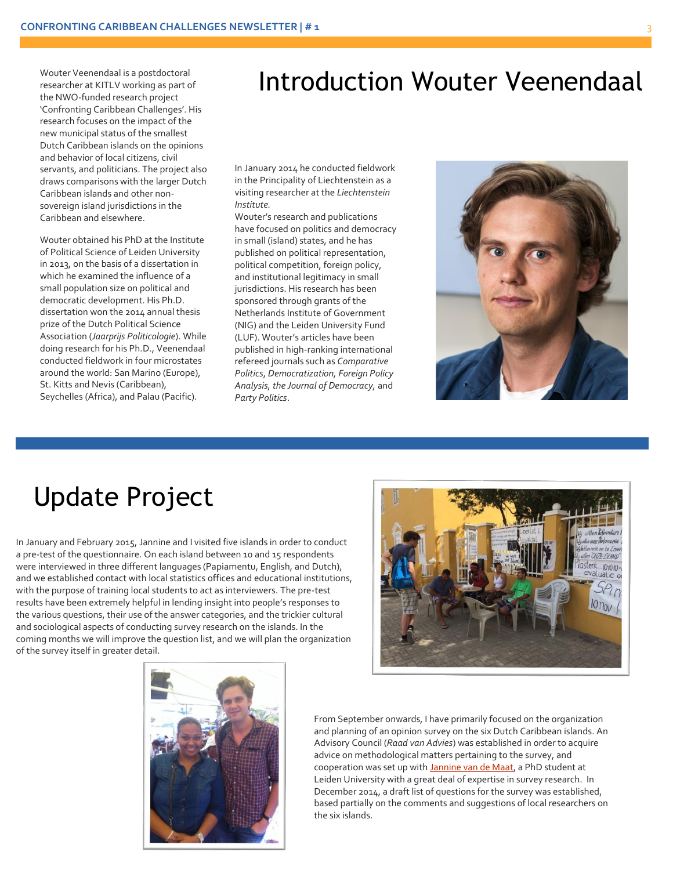Wouter Veenendaal is a postdoctoral researcher at KITLV working as part of the NWO-funded research project 'Confronting Caribbean Challenges'. His research focuses on the impact of the new municipal status of the smallest Dutch Caribbean islands on the opinions and behavior of local citizens, civil servants, and politicians. The project also draws comparisons with the larger Dutch Caribbean islands and other nonsovereign island jurisdictions in the Caribbean and elsewhere.

Wouter obtained his PhD at the Institute of Political Science of Leiden University in 2013, on the basis of a dissertation in which he examined the influence of a small population size on political and democratic development. His Ph.D. dissertation won the 2014 annual thesis prize of the Dutch Political Science Association (*Jaarprijs Politicologie*). While doing research for his Ph.D., Veenendaal conducted fieldwork in four microstates around the world: San Marino (Europe), St. Kitts and Nevis (Caribbean), Seychelles (Africa), and Palau (Pacific).

#### Introduction Wouter Veenendaal

In January 2014 he conducted fieldwork in the Principality of Liechtenstein as a visiting researcher at the *Liechtenstein Institute.*

Wouter's research and publications have focused on politics and democracy in small (island) states, and he has published on political representation, political competition, foreign policy, and institutional legitimacy in small jurisdictions. His research has been sponsored through grants of the Netherlands Institute of Government (NIG) and the Leiden University Fund (LUF). Wouter's articles have been published in high-ranking international refereed journals such as *Comparative Politics*, *Democratization, Foreign Policy Analysis, the Journal of Democracy,* and *Party Politics*.



#### Update Project

In January and February 2015, Jannine and I visited five islands in order to conduct a pre-test of the questionnaire. On each island between 10 and 15 respondents were interviewed in three different languages (Papiamentu, English, and Dutch), and we established contact with local statistics offices and educational institutions, with the purpose of training local students to act as interviewers. The pre-test results have been extremely helpful in lending insight into people's responses to the various questions, their use of the answer categories, and the trickier cultural and sociological aspects of conducting survey research on the islands. In the coming months we will improve the question list, and we will plan the organization of the survey itself in greater detail.





From September onwards, I have primarily focused on the organization and planning of an opinion survey on the six Dutch Caribbean islands. An Advisory Council (*Raad van Advies*) was established in order to acquire advice on methodological matters pertaining to the survey, and cooperation was set up wit[h Jannine van de Maat,](http://www.fsw.leidenuniv.nl/politicologie/organisatie/medewerkers/maat.html) a PhD student at Leiden University with a great deal of expertise in survey research. In December 2014, a draft list of questions for the survey was established, based partially on the comments and suggestions of local researchers on the six islands.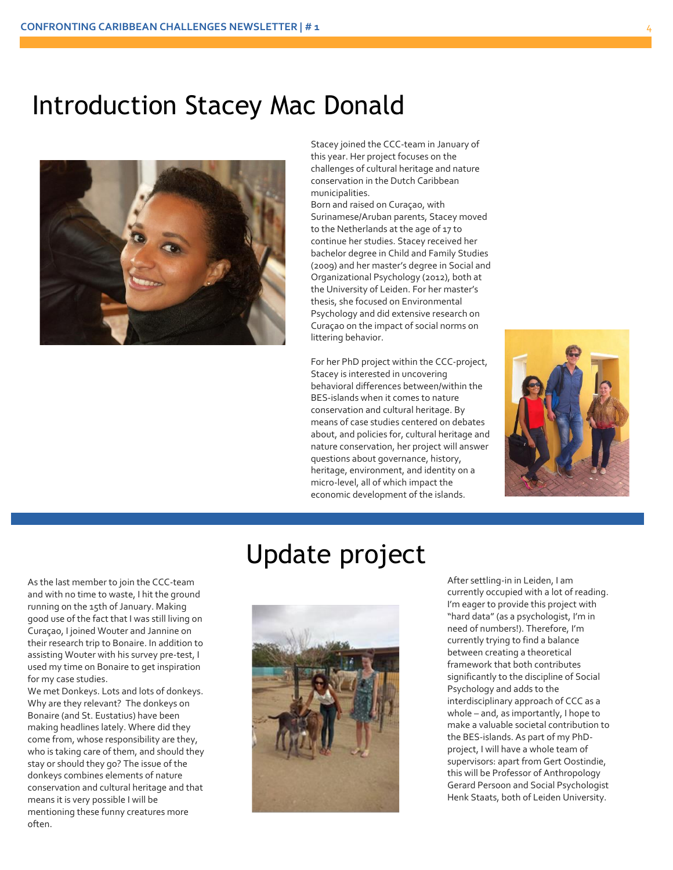#### Introduction Stacey Mac Donald



Stacey joined the CCC-team in January of this year. Her project focuses on the challenges of cultural heritage and nature conservation in the Dutch Caribbean municipalities.

Born and raised on Curaçao, with Surinamese/Aruban parents, Stacey moved to the Netherlands at the age of 17 to continue her studies. Stacey received her bachelor degree in Child and Family Studies (2009) and her master's degree in Social and Organizational Psychology (2012), both at the University of Leiden. For her master's thesis, she focused on Environmental Psychology and did extensive research on Curaçao on the impact of social norms on littering behavior.

For her PhD project within the CCC-project, Stacey is interested in uncovering behavioral differences between/within the BES-islands when it comes to nature conservation and cultural heritage. By means of case studies centered on debates about, and policies for, cultural heritage and nature conservation, her project will answer questions about governance, history, heritage, environment, and identity on a micro-level, all of which impact the economic development of the islands.



# Update project

As the last member to join the CCC-team and with no time to waste, I hit the ground running on the 15th of January. Making good use of the fact that I was still living on Curaçao, I joined Wouter and Jannine on their research trip to Bonaire. In addition to assisting Wouter with his survey pre-test, I used my time on Bonaire to get inspiration for my case studies.

We met Donkeys. Lots and lots of donkeys. Why are they relevant? The donkeys on Bonaire (and St. Eustatius) have been making headlines lately. Where did they come from, whose responsibility are they, who is taking care of them, and should they stay or should they go? The issue of the donkeys combines elements of nature conservation and cultural heritage and that means it is very possible I will be mentioning these funny creatures more often.



After settling-in in Leiden, I am currently occupied with a lot of reading. I'm eager to provide this project with "hard data" (as a psychologist, I'm in need of numbers!). Therefore, I'm currently trying to find a balance between creating a theoretical framework that both contributes significantly to the discipline of Social Psychology and adds to the interdisciplinary approach of CCC as a whole – and, as importantly, I hope to make a valuable societal contribution to the BES-islands. As part of my PhDproject, I will have a whole team of supervisors: apart from Gert Oostindie, this will be Professor of Anthropology Gerard Persoon and Social Psychologist Henk Staats, both of Leiden University.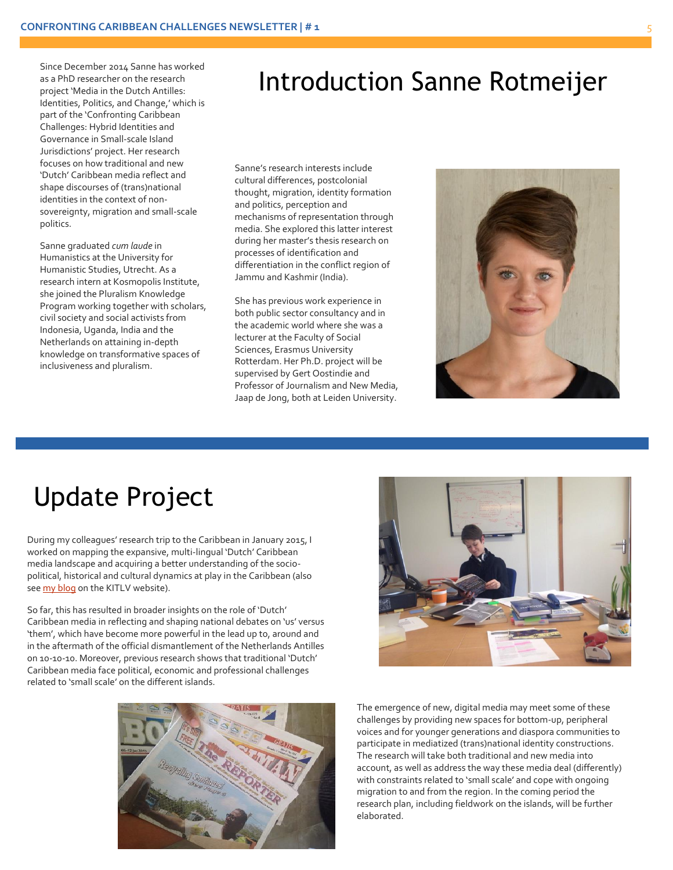Since December 2014 Sanne has worked as a PhD researcher on the research project 'Media in the Dutch Antilles: Identities, Politics, and Change,' which is part of the 'Confronting Caribbean Challenges: Hybrid Identities and Governance in Small-scale Island Jurisdictions' project. Her research focuses on how traditional and new 'Dutch' Caribbean media reflect and shape discourses of (trans)national identities in the context of nonsovereignty, migration and small-scale politics.

Sanne graduated *cum laude* in Humanistics at the University for Humanistic Studies, Utrecht. As a research intern at Kosmopolis Institute, she joined the Pluralism Knowledge Program working together with scholars, civil society and social activists from Indonesia, Uganda, India and the Netherlands on attaining in-depth knowledge on transformative spaces of inclusiveness and pluralism.

#### Introduction Sanne Rotmeijer

Sanne's research interests include cultural differences, postcolonial thought, migration, identity formation and politics, perception and mechanisms of representation through media. She explored this latter interest during her master's thesis research on processes of identification and differentiation in the conflict region of Jammu and Kashmir (India).

She has previous work experience in both public sector consultancy and in the academic world where she was a lecturer at the Faculty of Social Sciences, Erasmus University Rotterdam. Her Ph.D. project will be supervised by Gert Oostindie and Professor of Journalism and New Media, Jaap de Jong, both at Leiden University.



### Update Project

During my colleagues' research trip to the Caribbean in January 2015, I worked on mapping the expansive, multi-lingual 'Dutch' Caribbean media landscape and acquiring a better understanding of the sociopolitical, historical and cultural dynamics at play in the Caribbean (also se[e my blog](http://kitlv.nl/media-reflect-shape-blog-sanne-rotmeijer/) on the KITLV website).

So far, this has resulted in broader insights on the role of 'Dutch' Caribbean media in reflecting and shaping national debates on 'us' versus 'them', which have become more powerful in the lead up to, around and in the aftermath of the official dismantlement of the Netherlands Antilles on 10-10-10. Moreover, previous research shows that traditional 'Dutch' Caribbean media face political, economic and professional challenges related to 'small scale' on the different islands.





The emergence of new, digital media may meet some of these challenges by providing new spaces for bottom-up, peripheral voices and for younger generations and diaspora communities to participate in mediatized (trans)national identity constructions. The research will take both traditional and new media into account, as well as address the way these media deal (differently) with constraints related to 'small scale' and cope with ongoing migration to and from the region. In the coming period the research plan, including fieldwork on the islands, will be further elaborated.